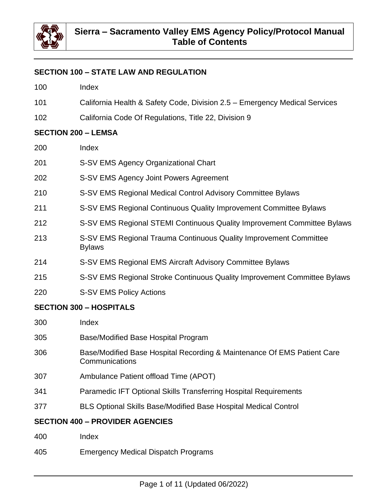

## **SECTION 100 – STATE LAW AND REGULATION**

- Index
- California Health & Safety Code, Division 2.5 Emergency Medical Services
- California Code Of Regulations, Title 22, Division 9

#### **SECTION 200 – LEMSA**

- Index
- S-SV EMS Agency Organizational Chart
- S-SV EMS Agency Joint Powers Agreement
- S-SV EMS Regional Medical Control Advisory Committee Bylaws
- S-SV EMS Regional Continuous Quality Improvement Committee Bylaws
- S-SV EMS Regional STEMI Continuous Quality Improvement Committee Bylaws
- S-SV EMS Regional Trauma Continuous Quality Improvement Committee Bylaws
- S-SV EMS Regional EMS Aircraft Advisory Committee Bylaws
- S-SV EMS Regional Stroke Continuous Quality Improvement Committee Bylaws
- S-SV EMS Policy Actions

#### **SECTION 300 – HOSPITALS**

- Index
- Base/Modified Base Hospital Program
- 306 Base/Modified Base Hospital Recording & Maintenance Of EMS Patient Care **Communications**
- Ambulance Patient offload Time (APOT)
- Paramedic IFT Optional Skills Transferring Hospital Requirements
- BLS Optional Skills Base/Modified Base Hospital Medical Control

#### **SECTION 400 – PROVIDER AGENCIES**

- Index
- Emergency Medical Dispatch Programs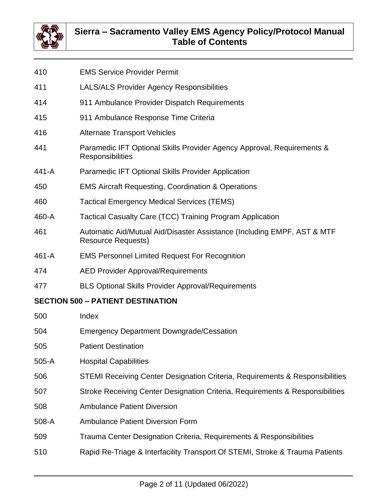

- LALS/ALS Provider Agency Responsibilities 911 Ambulance Provider Dispatch Requirements 911 Ambulance Response Time Criteria Alternate Transport Vehicles Paramedic IFT Optional Skills Provider Agency Approval, Requirements & **Responsibilities** 441-A Paramedic IFT Optional Skills Provider Application EMS Aircraft Requesting, Coordination & Operations Tactical Emergency Medical Services (TEMS) 460-A Tactical Casualty Care (TCC) Training Program Application Automatic Aid/Mutual Aid/Disaster Assistance (Including EMPF, AST & MTF Resource Requests) 461-A EMS Personnel Limited Request For Recognition AED Provider Approval/Requirements
- BLS Optional Skills Provider Approval/Requirements

## **SECTION 500 – PATIENT DESTINATION**

EMS Service Provider Permit

- Index
- Emergency Department Downgrade/Cessation
- Patient Destination
- 505-A Hospital Capabilities
- STEMI Receiving Center Designation Criteria, Requirements & Responsibilities
- Stroke Receiving Center Designation Criteria, Requirements & Responsibilities
- Ambulance Patient Diversion
- 508-A Ambulance Patient Diversion Form
- Trauma Center Designation Criteria, Requirements & Responsibilities
- Rapid Re-Triage & Interfacility Transport Of STEMI, Stroke & Trauma Patients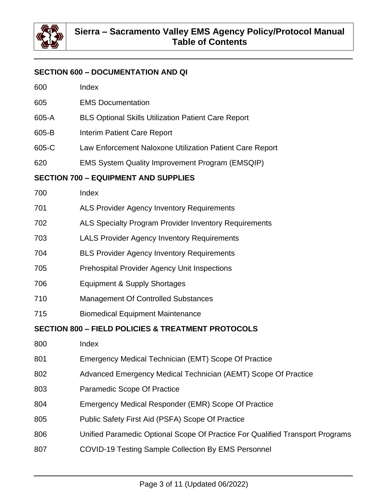

#### **SECTION 600 – DOCUMENTATION AND QI**

- EMS Documentation
- 605-A BLS Optional Skills Utilization Patient Care Report
- 605-B Interim Patient Care Report
- 605-C Law Enforcement Naloxone Utilization Patient Care Report
- EMS System Quality Improvement Program (EMSQIP)

#### **SECTION 700 – EQUIPMENT AND SUPPLIES**

- ALS Provider Agency Inventory Requirements
- ALS Specialty Program Provider Inventory Requirements
- LALS Provider Agency Inventory Requirements
- BLS Provider Agency Inventory Requirements
- Prehospital Provider Agency Unit Inspections
- Equipment & Supply Shortages
- Management Of Controlled Substances
- Biomedical Equipment Maintenance

#### **SECTION 800 – FIELD POLICIES & TREATMENT PROTOCOLS**

- Index
- 801 Emergency Medical Technician (EMT) Scope Of Practice
- Advanced Emergency Medical Technician (AEMT) Scope Of Practice
- Paramedic Scope Of Practice
- Emergency Medical Responder (EMR) Scope Of Practice
- Public Safety First Aid (PSFA) Scope Of Practice
- Unified Paramedic Optional Scope Of Practice For Qualified Transport Programs
- COVID-19 Testing Sample Collection By EMS Personnel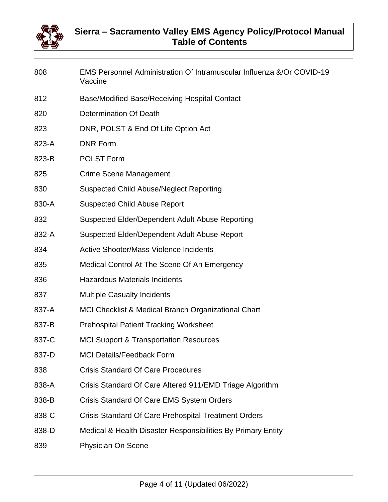

| 808   | EMS Personnel Administration Of Intramuscular Influenza &/Or COVID-19<br>Vaccine |
|-------|----------------------------------------------------------------------------------|
| 812   | Base/Modified Base/Receiving Hospital Contact                                    |
| 820   | <b>Determination Of Death</b>                                                    |
| 823   | DNR, POLST & End Of Life Option Act                                              |
| 823-A | <b>DNR Form</b>                                                                  |
| 823-B | <b>POLST Form</b>                                                                |
| 825   | <b>Crime Scene Management</b>                                                    |
| 830   | <b>Suspected Child Abuse/Neglect Reporting</b>                                   |
| 830-A | <b>Suspected Child Abuse Report</b>                                              |
| 832   | Suspected Elder/Dependent Adult Abuse Reporting                                  |
| 832-A | Suspected Elder/Dependent Adult Abuse Report                                     |
| 834   | <b>Active Shooter/Mass Violence Incidents</b>                                    |
| 835   | Medical Control At The Scene Of An Emergency                                     |
| 836   | <b>Hazardous Materials Incidents</b>                                             |
| 837   | <b>Multiple Casualty Incidents</b>                                               |
| 837-A | MCI Checklist & Medical Branch Organizational Chart                              |
| 837-B | <b>Prehospital Patient Tracking Worksheet</b>                                    |
| 837-C | <b>MCI Support &amp; Transportation Resources</b>                                |
| 837-D | <b>MCI Details/Feedback Form</b>                                                 |
| 838   | <b>Crisis Standard Of Care Procedures</b>                                        |
| 838-A | Crisis Standard Of Care Altered 911/EMD Triage Algorithm                         |
| 838-B | Crisis Standard Of Care EMS System Orders                                        |
| 838-C | <b>Crisis Standard Of Care Prehospital Treatment Orders</b>                      |
| 838-D | Medical & Health Disaster Responsibilities By Primary Entity                     |
| 839   | Physician On Scene                                                               |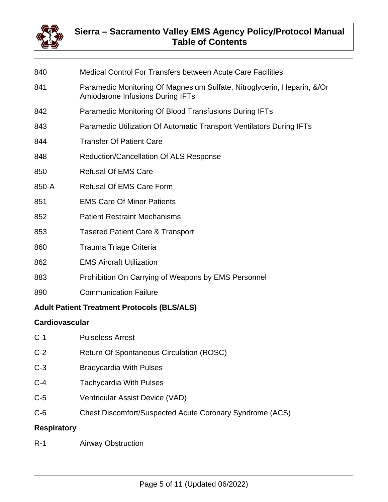

# **Sierra – Sacramento Valley EMS Agency Policy/Protocol Manual Table of Contents**

| 840                                                | <b>Medical Control For Transfers between Acute Care Facilities</b>                                          |  |
|----------------------------------------------------|-------------------------------------------------------------------------------------------------------------|--|
| 841                                                | Paramedic Monitoring Of Magnesium Sulfate, Nitroglycerin, Heparin, &/Or<br>Amiodarone Infusions During IFTs |  |
| 842                                                | Paramedic Monitoring Of Blood Transfusions During IFTs                                                      |  |
| 843                                                | Paramedic Utilization Of Automatic Transport Ventilators During IFTs                                        |  |
| 844                                                | <b>Transfer Of Patient Care</b>                                                                             |  |
| 848                                                | Reduction/Cancellation Of ALS Response                                                                      |  |
| 850                                                | <b>Refusal Of EMS Care</b>                                                                                  |  |
| 850-A                                              | <b>Refusal Of EMS Care Form</b>                                                                             |  |
| 851                                                | <b>EMS Care Of Minor Patients</b>                                                                           |  |
| 852                                                | <b>Patient Restraint Mechanisms</b>                                                                         |  |
| 853                                                | <b>Tasered Patient Care &amp; Transport</b>                                                                 |  |
| 860                                                | Trauma Triage Criteria                                                                                      |  |
| 862                                                | <b>EMS Aircraft Utilization</b>                                                                             |  |
| 883                                                | Prohibition On Carrying of Weapons by EMS Personnel                                                         |  |
| 890                                                | <b>Communication Failure</b>                                                                                |  |
| <b>Adult Patient Treatment Protocols (BLS/ALS)</b> |                                                                                                             |  |
| <b>Cardiovascular</b>                              |                                                                                                             |  |
| $C-1$                                              | <b>Pulseless Arrest</b>                                                                                     |  |
| $C-2$                                              | <b>Return Of Spontaneous Circulation (ROSC)</b>                                                             |  |

- C-3 Bradycardia With Pulses
- C-4 Tachycardia With Pulses
- C-5 Ventricular Assist Device (VAD)
- C-6 Chest Discomfort/Suspected Acute Coronary Syndrome (ACS)

## **Respiratory**

R-1 Airway Obstruction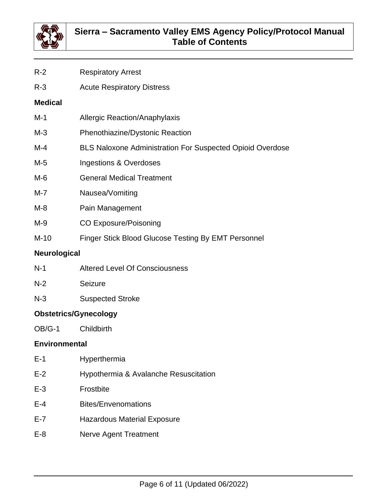

- R-2 Respiratory Arrest
- R-3 Acute Respiratory Distress

#### **Medical**

- M-1 **Allergic Reaction/Anaphylaxis**
- M-3 Phenothiazine/Dystonic Reaction
- M-4 BLS Naloxone Administration For Suspected Opioid Overdose
- M-5 **Ingestions & Overdoses**
- M-6 General Medical Treatment
- M-7 Nausea/Vomiting
- M-8 Pain Management
- M-9 CO Exposure/Poisoning
- M-10 Finger Stick Blood Glucose Testing By EMT Personnel

## **Neurological**

- N-1 Altered Level Of Consciousness
- N-2 Seizure
- N-3 Suspected Stroke

# **Obstetrics/Gynecology**

OB/G-1 Childbirth

## **Environmental**

- E-1 Hyperthermia
- E-2 Hypothermia & Avalanche Resuscitation
- E-3 Frostbite
- E-4 Bites/Envenomations
- E-7 Hazardous Material Exposure
- E-8 Nerve Agent Treatment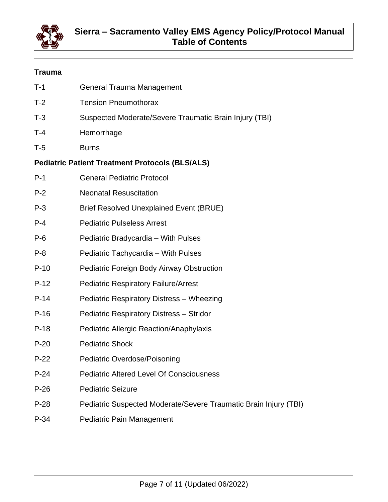

# **Trauma**

| $T-1$   | <b>General Trauma Management</b>                                 |
|---------|------------------------------------------------------------------|
| $T-2$   | <b>Tension Pneumothorax</b>                                      |
| $T-3$   | Suspected Moderate/Severe Traumatic Brain Injury (TBI)           |
| $T-4$   | Hemorrhage                                                       |
| $T-5$   | <b>Burns</b>                                                     |
|         | <b>Pediatric Patient Treatment Protocols (BLS/ALS)</b>           |
| $P-1$   | <b>General Pediatric Protocol</b>                                |
| $P-2$   | <b>Neonatal Resuscitation</b>                                    |
| $P-3$   | <b>Brief Resolved Unexplained Event (BRUE)</b>                   |
| $P - 4$ | <b>Pediatric Pulseless Arrest</b>                                |
| $P-6$   | Pediatric Bradycardia - With Pulses                              |
| $P - 8$ | Pediatric Tachycardia – With Pulses                              |
| $P-10$  | Pediatric Foreign Body Airway Obstruction                        |
| $P-12$  | <b>Pediatric Respiratory Failure/Arrest</b>                      |
| $P-14$  | Pediatric Respiratory Distress - Wheezing                        |
| $P-16$  | <b>Pediatric Respiratory Distress - Stridor</b>                  |
| $P-18$  | <b>Pediatric Allergic Reaction/Anaphylaxis</b>                   |
| $P-20$  | <b>Pediatric Shock</b>                                           |
| $P-22$  | <b>Pediatric Overdose/Poisoning</b>                              |
| $P-24$  | <b>Pediatric Altered Level Of Consciousness</b>                  |
| $P-26$  | <b>Pediatric Seizure</b>                                         |
| $P-28$  | Pediatric Suspected Moderate/Severe Traumatic Brain Injury (TBI) |
| $P-34$  | Pediatric Pain Management                                        |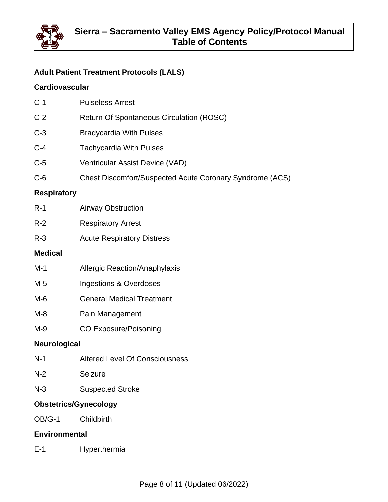

# **Adult Patient Treatment Protocols (LALS)**

# **Cardiovascular**

| $C-1$              | <b>Pulseless Arrest</b>                                  |  |
|--------------------|----------------------------------------------------------|--|
| $C-2$              | <b>Return Of Spontaneous Circulation (ROSC)</b>          |  |
| $C-3$              | <b>Bradycardia With Pulses</b>                           |  |
| $C-4$              | <b>Tachycardia With Pulses</b>                           |  |
| $C-5$              | Ventricular Assist Device (VAD)                          |  |
| $C-6$              | Chest Discomfort/Suspected Acute Coronary Syndrome (ACS) |  |
| <b>Respiratory</b> |                                                          |  |
| $R-1$              | <b>Airway Obstruction</b>                                |  |
| $R-2$              | <b>Respiratory Arrest</b>                                |  |
| $R-3$              | <b>Acute Respiratory Distress</b>                        |  |
| <b>Medical</b>     |                                                          |  |
| $M-1$              | <b>Allergic Reaction/Anaphylaxis</b>                     |  |
| $M-5$              | <b>Ingestions &amp; Overdoses</b>                        |  |
| $M-6$              | <b>General Medical Treatment</b>                         |  |
| $M-8$              | Pain Management                                          |  |
| M-9                | <b>CO Exposure/Poisoning</b>                             |  |
| Neurological       |                                                          |  |
| $N-1$              | <b>Altered Level Of Consciousness</b>                    |  |
| $N-2$              | Seizure                                                  |  |
| $N-3$              | <b>Suspected Stroke</b>                                  |  |

## **Obstetrics/Gynecology**

OB/G-1 Childbirth

## **Environmental**

E-1 Hyperthermia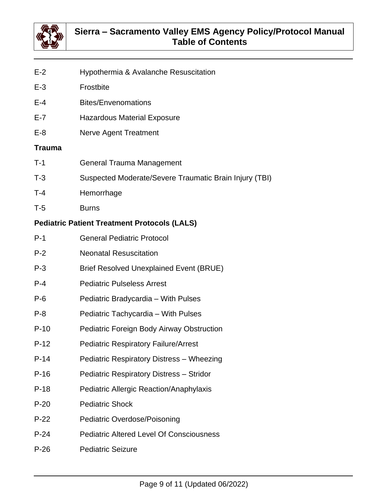

- E-2 Hypothermia & Avalanche Resuscitation
- E-3 Frostbite
- E-4 Bites/Envenomations
- E-7 Hazardous Material Exposure
- E-8 Nerve Agent Treatment

#### **Trauma**

- T-1 General Trauma Management
- T-3 Suspected Moderate/Severe Traumatic Brain Injury (TBI)
- T-4 Hemorrhage
- T-5 Burns

## **Pediatric Patient Treatment Protocols (LALS)**

| $P-1$   | <b>General Pediatric Protocol</b>                |
|---------|--------------------------------------------------|
| $P-2$   | <b>Neonatal Resuscitation</b>                    |
| $P-3$   | <b>Brief Resolved Unexplained Event (BRUE)</b>   |
| $P - 4$ | <b>Pediatric Pulseless Arrest</b>                |
| $P-6$   | Pediatric Bradycardia - With Pulses              |
| $P-8$   | Pediatric Tachycardia – With Pulses              |
| $P-10$  | <b>Pediatric Foreign Body Airway Obstruction</b> |
| $P-12$  | <b>Pediatric Respiratory Failure/Arrest</b>      |
| $P-14$  | Pediatric Respiratory Distress - Wheezing        |
| $P-16$  | <b>Pediatric Respiratory Distress - Stridor</b>  |
| $P-18$  | Pediatric Allergic Reaction/Anaphylaxis          |
| $P-20$  | <b>Pediatric Shock</b>                           |
| $P-22$  | <b>Pediatric Overdose/Poisoning</b>              |
| $P-24$  | <b>Pediatric Altered Level Of Consciousness</b>  |
| $P-26$  | <b>Pediatric Seizure</b>                         |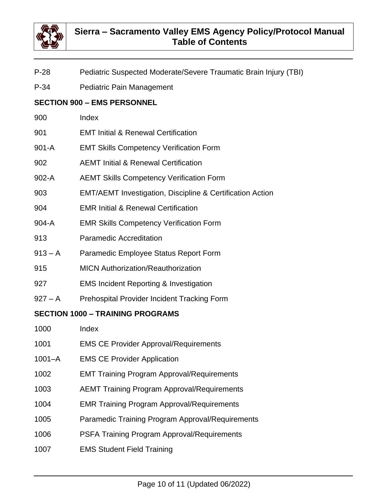

- P-28 Pediatric Suspected Moderate/Severe Traumatic Brain Injury (TBI)
- P-34 Pediatric Pain Management

# **SECTION 900 – EMS PERSONNEL**

- 900 Index
- 901 EMT Initial & Renewal Certification
- 901-A EMT Skills Competency Verification Form
- 902 AEMT Initial & Renewal Certification
- 902-A AEMT Skills Competency Verification Form
- 903 EMT/AEMT Investigation, Discipline & Certification Action
- 904 EMR Initial & Renewal Certification
- 904-A EMR Skills Competency Verification Form
- 913 Paramedic Accreditation
- 913 A Paramedic Employee Status Report Form
- 915 MICN Authorization/Reauthorization
- 927 EMS Incident Reporting & Investigation
- 927 A Prehospital Provider Incident Tracking Form

## **SECTION 1000 – TRAINING PROGRAMS**

- 1000 Index
- 1001 EMS CE Provider Approval/Requirements
- 1001–A EMS CE Provider Application
- 1002 EMT Training Program Approval/Requirements
- 1003 AEMT Training Program Approval/Requirements
- 1004 EMR Training Program Approval/Requirements
- 1005 Paramedic Training Program Approval/Requirements
- 1006 PSFA Training Program Approval/Requirements
- 1007 EMS Student Field Training